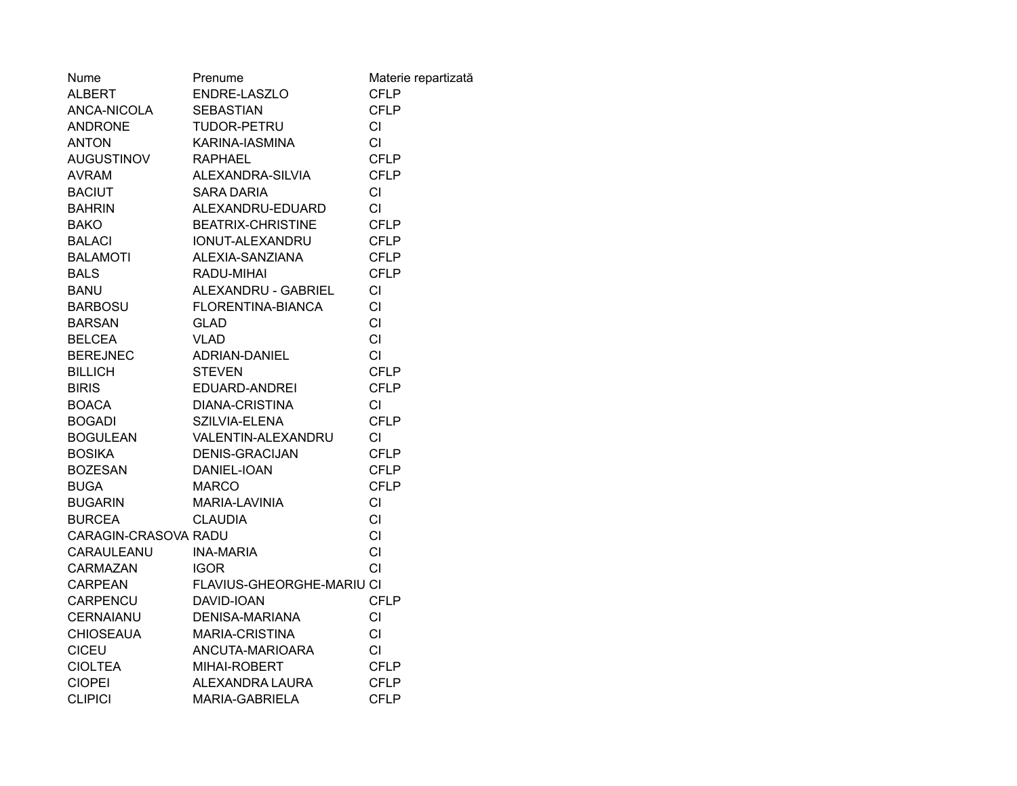| Nume                 | Prenume                   | Materie repartizată |
|----------------------|---------------------------|---------------------|
| <b>ALBERT</b>        | ENDRE-LASZLO              | CFLP                |
| ANCA-NICOLA          | <b>SEBASTIAN</b>          | <b>CFLP</b>         |
| <b>ANDRONE</b>       | TUDOR-PETRU               | <b>CI</b>           |
| <b>ANTON</b>         | KARINA-IASMINA            | CI                  |
| <b>AUGUSTINOV</b>    | <b>RAPHAEL</b>            | <b>CFLP</b>         |
| <b>AVRAM</b>         | ALEXANDRA-SILVIA          | <b>CFLP</b>         |
| <b>BACIUT</b>        | <b>SARA DARIA</b>         | <b>CI</b>           |
| <b>BAHRIN</b>        | ALEXANDRU-EDUARD          | <b>CI</b>           |
| <b>BAKO</b>          | <b>BEATRIX-CHRISTINE</b>  | <b>CFLP</b>         |
| <b>BALACI</b>        | IONUT-ALEXANDRU           | <b>CFLP</b>         |
| <b>BALAMOTI</b>      | ALEXIA-SANZIANA           | <b>CFLP</b>         |
| <b>BALS</b>          | RADU-MIHAI                | <b>CFLP</b>         |
| BANU                 | ALEXANDRU - GABRIEL       | CI                  |
| BARBOSU              | FLORENTINA-BIANCA         | CI                  |
| <b>BARSAN</b>        | <b>GLAD</b>               | <b>CI</b>           |
| <b>BELCEA</b>        | <b>VLAD</b>               | CI                  |
| <b>BEREJNEC</b>      | ADRIAN-DANIEL             | <b>CI</b>           |
| <b>BILLICH</b>       | <b>STEVEN</b>             | <b>CFLP</b>         |
| <b>BIRIS</b>         | EDUARD-ANDREI             | <b>CFLP</b>         |
| <b>BOACA</b>         | <b>DIANA-CRISTINA</b>     | CI                  |
| <b>BOGADI</b>        | SZILVIA-ELENA             | <b>CFLP</b>         |
| <b>BOGULEAN</b>      | VALENTIN-ALEXANDRU        | СI                  |
| <b>BOSIKA</b>        | <b>DENIS-GRACIJAN</b>     | <b>CFLP</b>         |
| BOZESAN              | DANIEL-IOAN               | <b>CFLP</b>         |
| <b>BUGA</b>          | <b>MARCO</b>              | <b>CFLP</b>         |
| <b>BUGARIN</b>       | MARIA-LAVINIA             | <b>CI</b>           |
| <b>BURCEA</b>        | <b>CLAUDIA</b>            | <b>CI</b>           |
| CARAGIN-CRASOVA RADU |                           | <b>CI</b>           |
| CARAULEANU           | <b>INA-MARIA</b>          | <b>CI</b>           |
| CARMAZAN             | <b>IGOR</b>               | <b>CI</b>           |
| CARPEAN              | FLAVIUS-GHEORGHE-MARIU CI |                     |
| CARPENCU             | DAVID-IOAN                | <b>CFLP</b>         |
| <b>CERNAIANU</b>     | <b>DENISA-MARIANA</b>     | CI                  |
| <b>CHIOSEAUA</b>     | <b>MARIA-CRISTINA</b>     | СI                  |
| <b>CICEU</b>         | ANCUTA-MARIOARA           | CI                  |
| <b>CIOLTEA</b>       | MIHAI-ROBERT              | <b>CFLP</b>         |
| <b>CIOPEI</b>        | ALEXANDRA LAURA           | <b>CFLP</b>         |
| <b>CLIPICI</b>       | <b>MARIA-GABRIELA</b>     | <b>CFLP</b>         |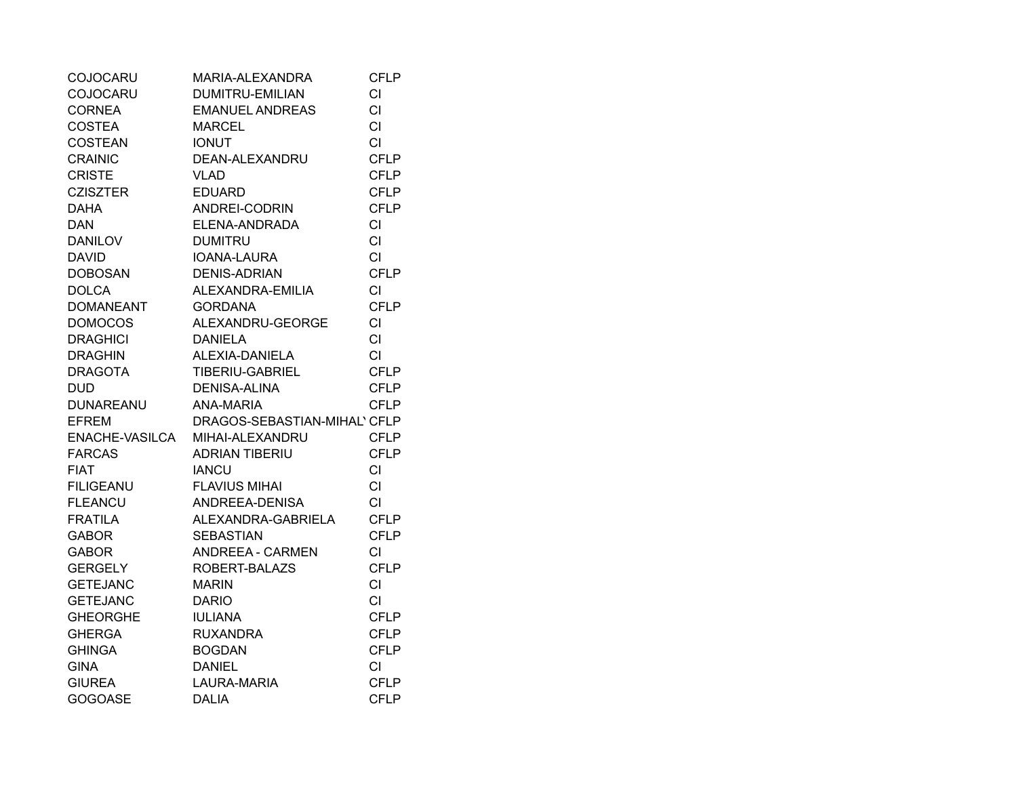| COJOCARU         | MARIA-ALEXANDRA              | <b>CFLP</b> |
|------------------|------------------------------|-------------|
| <b>COJOCARU</b>  | <b>DUMITRU-EMILIAN</b>       | <b>CI</b>   |
| <b>CORNEA</b>    | <b>EMANUEL ANDREAS</b>       | <b>CI</b>   |
| <b>COSTEA</b>    | <b>MARCEL</b>                | <b>CI</b>   |
| COSTEAN          | <b>IONUT</b>                 | <b>CI</b>   |
| <b>CRAINIC</b>   | DEAN-ALEXANDRU               | <b>CFLP</b> |
| <b>CRISTE</b>    | <b>VLAD</b>                  | <b>CFLP</b> |
| <b>CZISZTER</b>  | <b>EDUARD</b>                | <b>CFLP</b> |
| <b>DAHA</b>      | ANDREI-CODRIN                | <b>CFLP</b> |
| <b>DAN</b>       | ELENA-ANDRADA                | CI          |
| DANILOV          | <b>DUMITRU</b>               | <b>CI</b>   |
| DAVID            | <b>IOANA-LAURA</b>           | <b>CI</b>   |
| <b>DOBOSAN</b>   | <b>DENIS-ADRIAN</b>          | <b>CFLP</b> |
| <b>DOLCA</b>     | ALEXANDRA-EMILIA             | CI          |
| <b>DOMANEANT</b> | <b>GORDANA</b>               | <b>CFLP</b> |
| <b>DOMOCOS</b>   | ALEXANDRU-GEORGE             | <b>CI</b>   |
| <b>DRAGHICI</b>  | <b>DANIELA</b>               | <b>CI</b>   |
| <b>DRAGHIN</b>   | ALEXIA-DANIELA               | <b>CI</b>   |
| DRAGOTA          | TIBERIU-GABRIEL              | <b>CFLP</b> |
| DUD              | DENISA-ALINA                 | <b>CFLP</b> |
| DUNAREANU        | ANA-MARIA                    | <b>CFLP</b> |
| <b>EFREM</b>     | DRAGOS-SEBASTIAN-MIHAL' CFLP |             |
| ENACHE-VASILCA   | MIHAI-ALEXANDRU              | <b>CFLP</b> |
| <b>FARCAS</b>    | <b>ADRIAN TIBERIU</b>        | <b>CFLP</b> |
| <b>FIAT</b>      | <b>IANCU</b>                 | <b>CI</b>   |
| <b>FILIGEANU</b> | <b>FLAVIUS MIHAI</b>         | <b>CI</b>   |
| <b>FLEANCU</b>   | ANDREEA-DENISA               | <b>CI</b>   |
| <b>FRATILA</b>   | ALEXANDRA-GABRIELA           | <b>CFLP</b> |
| <b>GABOR</b>     | <b>SEBASTIAN</b>             | <b>CFLP</b> |
| <b>GABOR</b>     | <b>ANDREEA - CARMEN</b>      | <b>CI</b>   |
| <b>GERGELY</b>   | ROBERT-BALAZS                | <b>CFLP</b> |
| <b>GETEJANC</b>  | <b>MARIN</b>                 | CI          |
| <b>GETEJANC</b>  | <b>DARIO</b>                 | <b>CI</b>   |
| <b>GHEORGHE</b>  | <b>IULIANA</b>               | <b>CFLP</b> |
| <b>GHERGA</b>    | <b>RUXANDRA</b>              | <b>CFLP</b> |
| <b>GHINGA</b>    | <b>BOGDAN</b>                | <b>CFLP</b> |
| <b>GINA</b>      | <b>DANIEL</b>                | CI.         |
| <b>GIUREA</b>    | LAURA-MARIA                  | <b>CFLP</b> |
| <b>GOGOASE</b>   | <b>DALIA</b>                 | <b>CFLP</b> |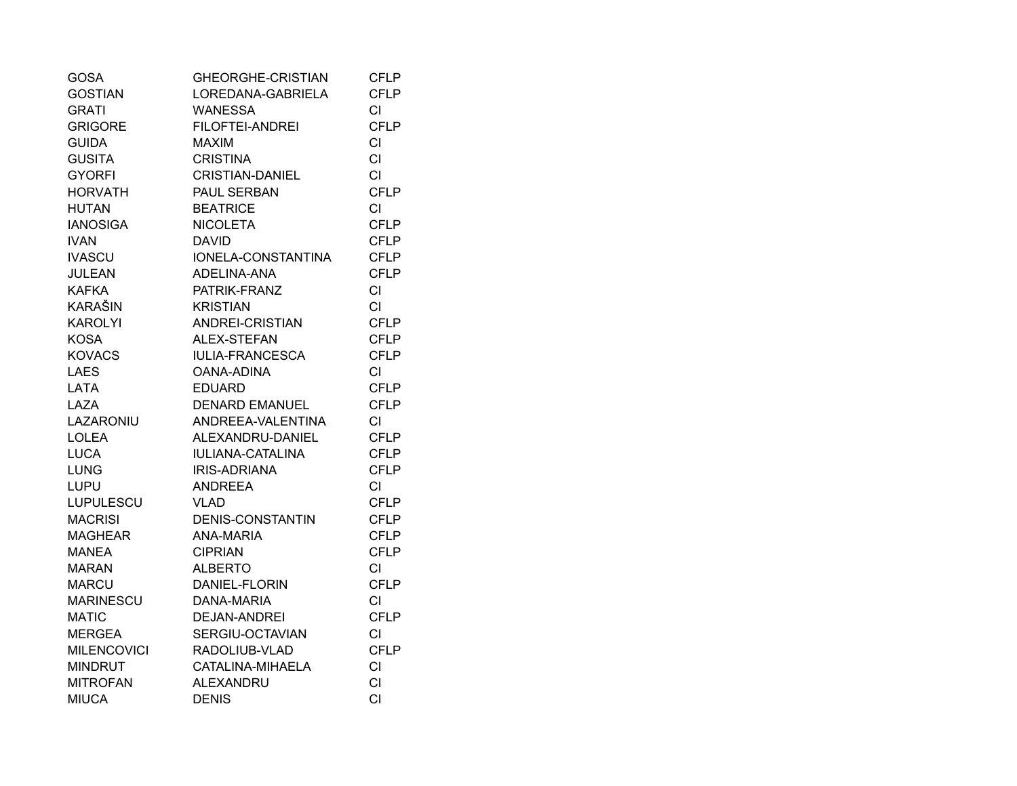| <b>GOSA</b>        | GHEORGHE-CRISTIAN       | <b>CFLP</b> |
|--------------------|-------------------------|-------------|
| <b>GOSTIAN</b>     | LOREDANA-GABRIELA       | <b>CFLP</b> |
| <b>GRATI</b>       | <b>WANESSA</b>          | CI          |
| <b>GRIGORE</b>     | FILOFTEI-ANDREI         | <b>CFLP</b> |
| <b>GUIDA</b>       | <b>MAXIM</b>            | <b>CI</b>   |
| <b>GUSITA</b>      | <b>CRISTINA</b>         | <b>CI</b>   |
| <b>GYORFI</b>      | <b>CRISTIAN-DANIEL</b>  | <b>CI</b>   |
| <b>HORVATH</b>     | PAUL SERBAN             | <b>CFLP</b> |
| <b>HUTAN</b>       | <b>BEATRICE</b>         | <b>CI</b>   |
| <b>IANOSIGA</b>    | <b>NICOLETA</b>         | <b>CFLP</b> |
| <b>IVAN</b>        | <b>DAVID</b>            | <b>CFLP</b> |
| <b>IVASCU</b>      | IONELA-CONSTANTINA      | <b>CFLP</b> |
| <b>JULEAN</b>      | ADELINA-ANA             | <b>CFLP</b> |
| <b>KAFKA</b>       | PATRIK-FRANZ            | CI          |
| <b>KARAŠIN</b>     | <b>KRISTIAN</b>         | <b>CI</b>   |
| <b>KAROLYI</b>     | ANDREI-CRISTIAN         | <b>CFLP</b> |
| <b>KOSA</b>        | ALEX-STEFAN             | <b>CFLP</b> |
| <b>KOVACS</b>      | IULIA-FRANCESCA         | <b>CFLP</b> |
| <b>LAES</b>        | OANA-ADINA              | <b>CI</b>   |
| <b>LATA</b>        | <b>EDUARD</b>           | <b>CFLP</b> |
| LAZA               | <b>DENARD EMANUEL</b>   | <b>CFLP</b> |
| LAZARONIU          | ANDREEA-VALENTINA       | <b>CI</b>   |
| <b>LOLEA</b>       | ALEXANDRU-DANIEL        | <b>CFLP</b> |
| <b>LUCA</b>        | <b>IULIANA-CATALINA</b> | <b>CFLP</b> |
| <b>LUNG</b>        | IRIS-ADRIANA            | <b>CFLP</b> |
| <b>LUPU</b>        | <b>ANDREEA</b>          | CI.         |
| LUPULESCU          | VLAD                    | <b>CFLP</b> |
| <b>MACRISI</b>     | <b>DENIS-CONSTANTIN</b> | <b>CFLP</b> |
| <b>MAGHEAR</b>     | <b>ANA-MARIA</b>        | <b>CFLP</b> |
| <b>MANEA</b>       | <b>CIPRIAN</b>          | <b>CFLP</b> |
| MARAN              | <b>ALBERTO</b>          | CI.         |
| MARCU              | DANIEL-FLORIN           | <b>CFLP</b> |
| <b>MARINESCU</b>   | DANA-MARIA              | CI          |
| <b>MATIC</b>       | <b>DEJAN-ANDREI</b>     | <b>CFLP</b> |
| <b>MERGEA</b>      | SERGIU-OCTAVIAN         | <b>CI</b>   |
| <b>MILENCOVICI</b> | RADOLIUB-VLAD           | <b>CFLP</b> |
| <b>MINDRUT</b>     | CATALINA-MIHAELA        | <b>CI</b>   |
| <b>MITROFAN</b>    | <b>ALEXANDRU</b>        | CI          |
| <b>MIUCA</b>       | <b>DENIS</b>            | CI          |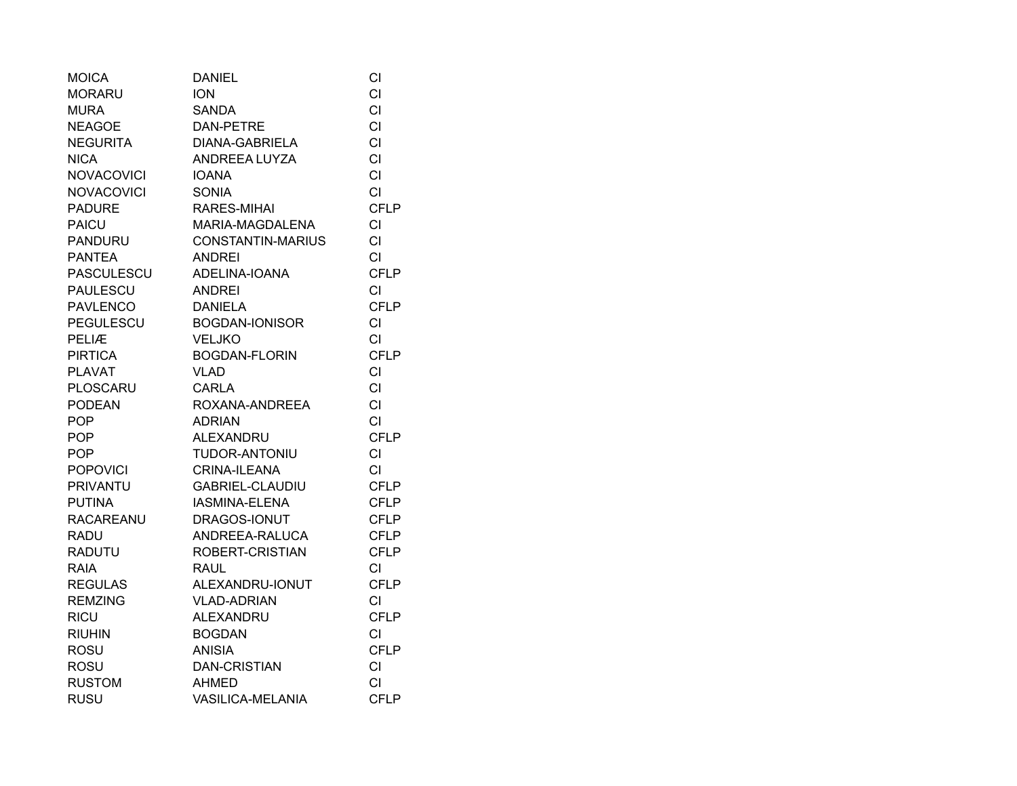| <b>MOICA</b>      | <b>DANIEL</b>            | СI          |
|-------------------|--------------------------|-------------|
| <b>MORARU</b>     | <b>ION</b>               | <b>CI</b>   |
| <b>MURA</b>       | <b>SANDA</b>             | <b>CI</b>   |
| <b>NEAGOE</b>     | <b>DAN-PETRE</b>         | <b>CI</b>   |
| <b>NEGURITA</b>   | <b>DIANA-GABRIELA</b>    | <b>CI</b>   |
| <b>NICA</b>       | ANDREEA LUYZA            | <b>CI</b>   |
| <b>NOVACOVICI</b> | <b>IOANA</b>             | <b>CI</b>   |
| <b>NOVACOVICI</b> | <b>SONIA</b>             | <b>CI</b>   |
| <b>PADURE</b>     | RARES-MIHAI              | <b>CFLP</b> |
| <b>PAICU</b>      | MARIA-MAGDALENA          | CI          |
| <b>PANDURU</b>    | <b>CONSTANTIN-MARIUS</b> | <b>CI</b>   |
| <b>PANTEA</b>     | <b>ANDREI</b>            | <b>CI</b>   |
| PASCULESCU        | ADELINA-IOANA            | <b>CFLP</b> |
| <b>PAULESCU</b>   | <b>ANDREI</b>            | <b>CI</b>   |
| <b>PAVLENCO</b>   | <b>DANIELA</b>           | <b>CFLP</b> |
| PEGULESCU         | <b>BOGDAN-IONISOR</b>    | <b>CI</b>   |
| PELIÆ             | <b>VELJKO</b>            | <b>CI</b>   |
| <b>PIRTICA</b>    | <b>BOGDAN-FLORIN</b>     | <b>CFLP</b> |
| <b>PLAVAT</b>     | <b>VLAD</b>              | <b>CI</b>   |
| <b>PLOSCARU</b>   | CARLA                    | <b>CI</b>   |
| <b>PODEAN</b>     | ROXANA-ANDREEA           | <b>CI</b>   |
| <b>POP</b>        | <b>ADRIAN</b>            | <b>CI</b>   |
| <b>POP</b>        | <b>ALEXANDRU</b>         | <b>CFLP</b> |
| <b>POP</b>        | TUDOR-ANTONIU            | <b>CI</b>   |
| <b>POPOVICI</b>   | CRINA-ILEANA             | <b>CI</b>   |
| <b>PRIVANTU</b>   | <b>GABRIEL-CLAUDIU</b>   | <b>CFLP</b> |
| <b>PUTINA</b>     | IASMINA-ELENA            | <b>CFLP</b> |
| <b>RACAREANU</b>  | DRAGOS-IONUT             | <b>CFLP</b> |
| <b>RADU</b>       | ANDREEA-RALUCA           | <b>CFLP</b> |
| <b>RADUTU</b>     | ROBERT-CRISTIAN          | <b>CFLP</b> |
| <b>RAIA</b>       | <b>RAUL</b>              | <b>CI</b>   |
| <b>REGULAS</b>    | ALEXANDRU-IONUT          | <b>CFLP</b> |
| <b>REMZING</b>    | <b>VLAD-ADRIAN</b>       | <b>CI</b>   |
| <b>RICU</b>       | <b>ALEXANDRU</b>         | <b>CFLP</b> |
| <b>RIUHIN</b>     | <b>BOGDAN</b>            | <b>CI</b>   |
| <b>ROSU</b>       | <b>ANISIA</b>            | <b>CFLP</b> |
| <b>ROSU</b>       | <b>DAN-CRISTIAN</b>      | <b>CI</b>   |
| <b>RUSTOM</b>     | <b>AHMED</b>             | CI          |
| <b>RUSU</b>       | VASILICA-MELANIA         | <b>CFLP</b> |